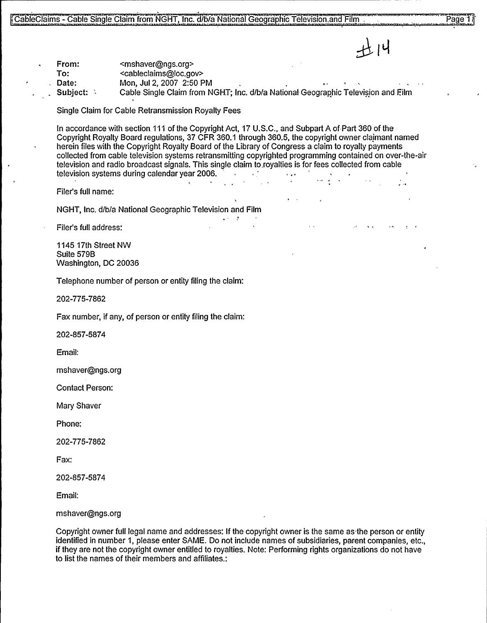$11.14$ 

From: <mshaver@ngs.org> To: <cableclaims@loc.gov>

Date: Mon, Jul 2, 2007 2:50 PM<br>Subject: Cable Single Claim from N

Cable Single Claim from NGHT; Inc. d/b/a National Geographic Television and Film

Single Claim for Cable Retransmission Royalty Fees

In accordance with section 111 of the Copyright Act, 17 U, S.C., and Subpart A of Part 360 of the-Copyright Royalty Board regulations, 37 CFR 360.1 through 360.5, the copyright owner claimant named herein files with the Copyright Royalty Board of the Library of Congress a claim to royalty payments collected from cable television systems retransmitting copyrighted programming contained on over-the-air television and radio broadcast signals. This single claim to royalties is for fees collected from cable<br>television systems during calendar year 2006. television systems during calendar year 2006.

Filer's full name:

NGHT, Inc. d/b/a National Geographic Television and Film

Filer's full address."

1145 17th Street NW Suite 579B Washington, DC 20036

Telephone number of person or entity filing the claim:

202-775-7862

Fax number, if any, of person or entity filing the claim:

202-857-5874

Email:

mshaver@ngs.org

Contact Person:

Mary Shaver

Phone:

202-775-7862

Fax:

202-857-5874

Email:

mshaver@ngs.org

Copyright owner full legal name and addresses: If the copyright owner is the same as the person or entity identified in number 1, please enter SAME. Do not include names of subsidiaries, parent companies, etc., if they are not the copyright owner entitled to royalties. Note: Performing rights organizations do not have to list the names of their members and affiliates.: